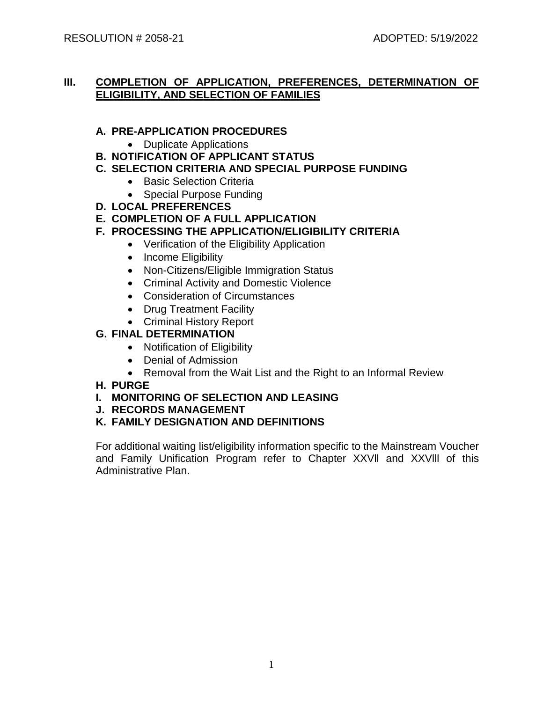## **III. COMPLETION OF APPLICATION, PREFERENCES, DETERMINATION OF ELIGIBILITY, AND SELECTION OF FAMILIES**

## **A. PRE-APPLICATION PROCEDURES**

- Duplicate Applications
- **B. NOTIFICATION OF APPLICANT STATUS**
- **C. SELECTION CRITERIA AND SPECIAL PURPOSE FUNDING**
	- Basic Selection Criteria
	- Special Purpose Funding
- **D. LOCAL PREFERENCES**
- **E. COMPLETION OF A FULL APPLICATION**
- **F. PROCESSING THE APPLICATION/ELIGIBILITY CRITERIA**
	- Verification of the Eligibility Application
	- Income Eligibility
	- Non-Citizens/Eligible Immigration Status
	- Criminal Activity and Domestic Violence
	- Consideration of Circumstances
	- Drug Treatment Facility
	- Criminal History Report

# **G. FINAL DETERMINATION**

- Notification of Eligibility
- Denial of Admission
- Removal from the Wait List and the Right to an Informal Review
- **H. PURGE**
- **I. MONITORING OF SELECTION AND LEASING**
- **J. RECORDS MANAGEMENT**
- **K. FAMILY DESIGNATION AND DEFINITIONS**

For additional waiting list/eligibility information specific to the Mainstream Voucher and Family Unification Program refer to Chapter XXVll and XXVlll of this Administrative Plan.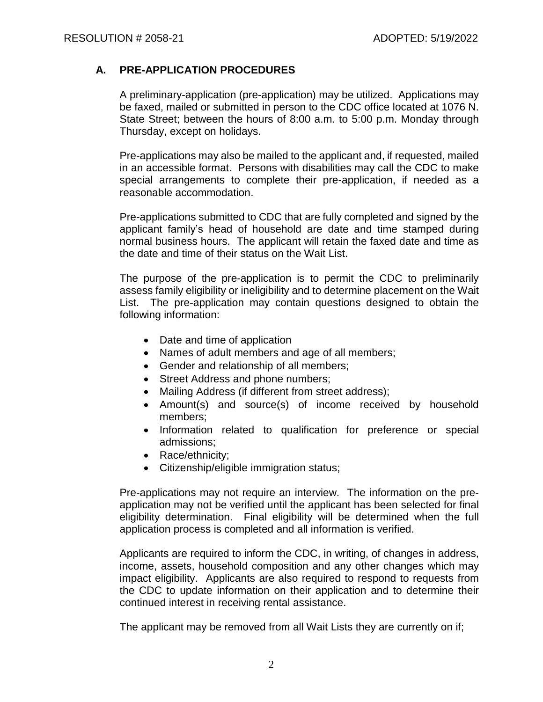## **A. PRE-APPLICATION PROCEDURES**

A preliminary-application (pre-application) may be utilized. Applications may be faxed, mailed or submitted in person to the CDC office located at 1076 N. State Street; between the hours of 8:00 a.m. to 5:00 p.m. Monday through Thursday, except on holidays.

Pre-applications may also be mailed to the applicant and, if requested, mailed in an accessible format. Persons with disabilities may call the CDC to make special arrangements to complete their pre-application, if needed as a reasonable accommodation.

Pre-applications submitted to CDC that are fully completed and signed by the applicant family's head of household are date and time stamped during normal business hours. The applicant will retain the faxed date and time as the date and time of their status on the Wait List.

The purpose of the pre-application is to permit the CDC to preliminarily assess family eligibility or ineligibility and to determine placement on the Wait List. The pre-application may contain questions designed to obtain the following information:

- Date and time of application
- Names of adult members and age of all members;
- Gender and relationship of all members;
- Street Address and phone numbers;
- Mailing Address (if different from street address);
- Amount(s) and source(s) of income received by household members;
- Information related to qualification for preference or special admissions;
- Race/ethnicity;
- Citizenship/eligible immigration status;

Pre-applications may not require an interview. The information on the preapplication may not be verified until the applicant has been selected for final eligibility determination. Final eligibility will be determined when the full application process is completed and all information is verified.

Applicants are required to inform the CDC, in writing, of changes in address, income, assets, household composition and any other changes which may impact eligibility. Applicants are also required to respond to requests from the CDC to update information on their application and to determine their continued interest in receiving rental assistance.

The applicant may be removed from all Wait Lists they are currently on if;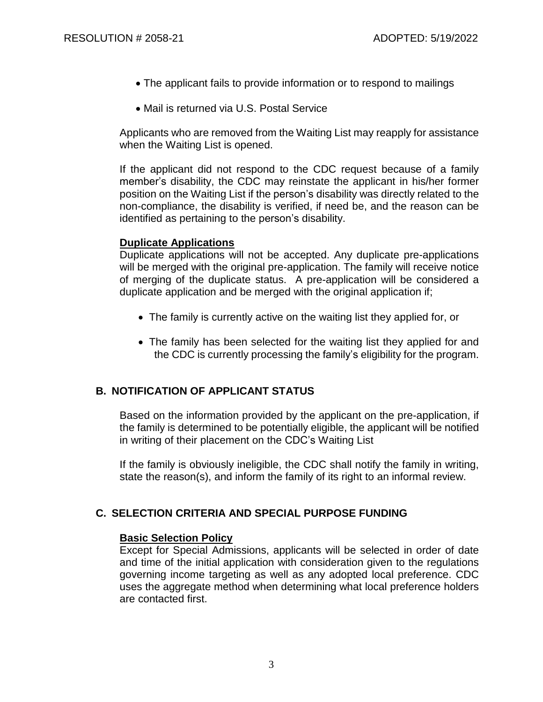- The applicant fails to provide information or to respond to mailings
- Mail is returned via U.S. Postal Service

Applicants who are removed from the Waiting List may reapply for assistance when the Waiting List is opened.

If the applicant did not respond to the CDC request because of a family member's disability, the CDC may reinstate the applicant in his/her former position on the Waiting List if the person's disability was directly related to the non-compliance, the disability is verified, if need be, and the reason can be identified as pertaining to the person's disability.

#### **Duplicate Applications**

Duplicate applications will not be accepted. Any duplicate pre-applications will be merged with the original pre-application. The family will receive notice of merging of the duplicate status. A pre-application will be considered a duplicate application and be merged with the original application if;

- The family is currently active on the waiting list they applied for, or
- The family has been selected for the waiting list they applied for and the CDC is currently processing the family's eligibility for the program.

## **B. NOTIFICATION OF APPLICANT STATUS**

Based on the information provided by the applicant on the pre-application, if the family is determined to be potentially eligible, the applicant will be notified in writing of their placement on the CDC's Waiting List

If the family is obviously ineligible, the CDC shall notify the family in writing, state the reason(s), and inform the family of its right to an informal review.

# **C. SELECTION CRITERIA AND SPECIAL PURPOSE FUNDING**

## **Basic Selection Policy**

Except for Special Admissions, applicants will be selected in order of date and time of the initial application with consideration given to the regulations governing income targeting as well as any adopted local preference. CDC uses the aggregate method when determining what local preference holders are contacted first.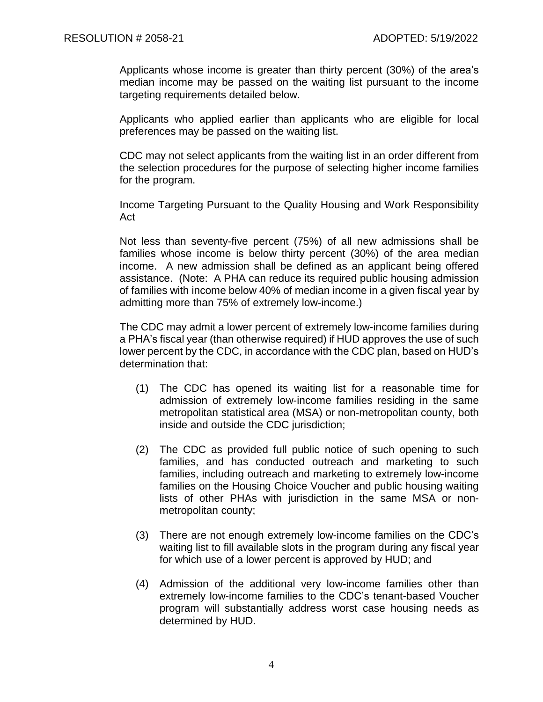Applicants whose income is greater than thirty percent (30%) of the area's median income may be passed on the waiting list pursuant to the income targeting requirements detailed below.

Applicants who applied earlier than applicants who are eligible for local preferences may be passed on the waiting list.

CDC may not select applicants from the waiting list in an order different from the selection procedures for the purpose of selecting higher income families for the program.

Income Targeting Pursuant to the Quality Housing and Work Responsibility Act

Not less than seventy-five percent (75%) of all new admissions shall be families whose income is below thirty percent (30%) of the area median income. A new admission shall be defined as an applicant being offered assistance. (Note: A PHA can reduce its required public housing admission of families with income below 40% of median income in a given fiscal year by admitting more than 75% of extremely low-income.)

The CDC may admit a lower percent of extremely low-income families during a PHA's fiscal year (than otherwise required) if HUD approves the use of such lower percent by the CDC, in accordance with the CDC plan, based on HUD's determination that:

- (1) The CDC has opened its waiting list for a reasonable time for admission of extremely low-income families residing in the same metropolitan statistical area (MSA) or non-metropolitan county, both inside and outside the CDC jurisdiction;
- (2) The CDC as provided full public notice of such opening to such families, and has conducted outreach and marketing to such families, including outreach and marketing to extremely low-income families on the Housing Choice Voucher and public housing waiting lists of other PHAs with jurisdiction in the same MSA or nonmetropolitan county;
- (3) There are not enough extremely low-income families on the CDC's waiting list to fill available slots in the program during any fiscal year for which use of a lower percent is approved by HUD; and
- (4) Admission of the additional very low-income families other than extremely low-income families to the CDC's tenant-based Voucher program will substantially address worst case housing needs as determined by HUD.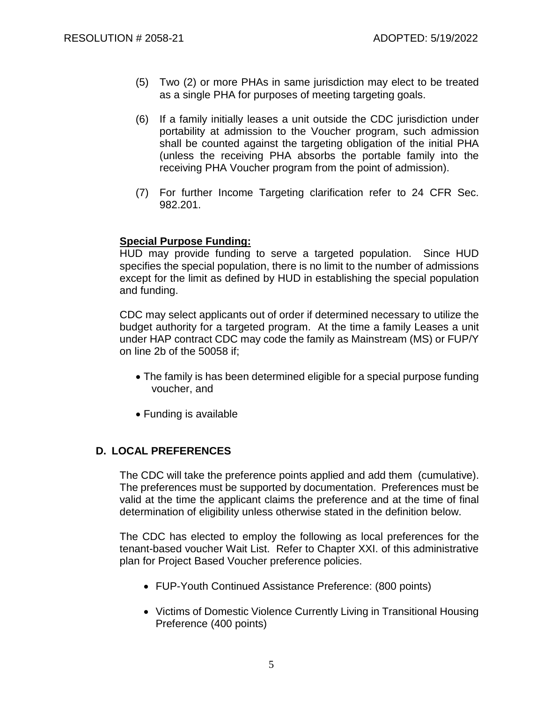- (5) Two (2) or more PHAs in same jurisdiction may elect to be treated as a single PHA for purposes of meeting targeting goals.
- (6) If a family initially leases a unit outside the CDC jurisdiction under portability at admission to the Voucher program, such admission shall be counted against the targeting obligation of the initial PHA (unless the receiving PHA absorbs the portable family into the receiving PHA Voucher program from the point of admission).
- (7) For further Income Targeting clarification refer to 24 CFR Sec. 982.201.

## **Special Purpose Funding:**

HUD may provide funding to serve a targeted population. Since HUD specifies the special population, there is no limit to the number of admissions except for the limit as defined by HUD in establishing the special population and funding.

CDC may select applicants out of order if determined necessary to utilize the budget authority for a targeted program. At the time a family Leases a unit under HAP contract CDC may code the family as Mainstream (MS) or FUP/Y on line 2b of the 50058 if;

- The family is has been determined eligible for a special purpose funding voucher, and
- Funding is available

# **D. LOCAL PREFERENCES**

The CDC will take the preference points applied and add them (cumulative). The preferences must be supported by documentation. Preferences must be valid at the time the applicant claims the preference and at the time of final determination of eligibility unless otherwise stated in the definition below.

The CDC has elected to employ the following as local preferences for the tenant-based voucher Wait List. Refer to Chapter XXI. of this administrative plan for Project Based Voucher preference policies.

- FUP-Youth Continued Assistance Preference: (800 points)
- Victims of Domestic Violence Currently Living in Transitional Housing Preference (400 points)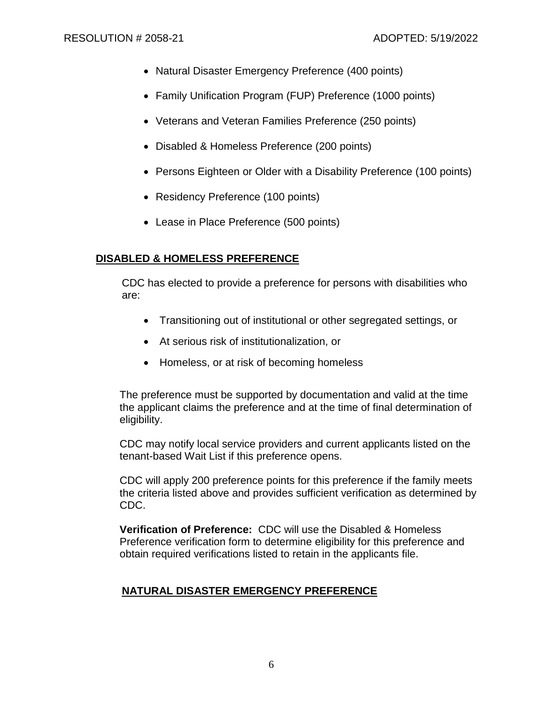- Natural Disaster Emergency Preference (400 points)
- Family Unification Program (FUP) Preference (1000 points)
- Veterans and Veteran Families Preference (250 points)
- Disabled & Homeless Preference (200 points)
- Persons Eighteen or Older with a Disability Preference (100 points)
- Residency Preference (100 points)
- Lease in Place Preference (500 points)

# **DISABLED & HOMELESS PREFERENCE**

CDC has elected to provide a preference for persons with disabilities who are:

- Transitioning out of institutional or other segregated settings, or
- At serious risk of institutionalization, or
- Homeless, or at risk of becoming homeless

The preference must be supported by documentation and valid at the time the applicant claims the preference and at the time of final determination of eligibility.

CDC may notify local service providers and current applicants listed on the tenant-based Wait List if this preference opens.

CDC will apply 200 preference points for this preference if the family meets the criteria listed above and provides sufficient verification as determined by CDC.

**Verification of Preference:** CDC will use the Disabled & Homeless Preference verification form to determine eligibility for this preference and obtain required verifications listed to retain in the applicants file.

# **NATURAL DISASTER EMERGENCY PREFERENCE**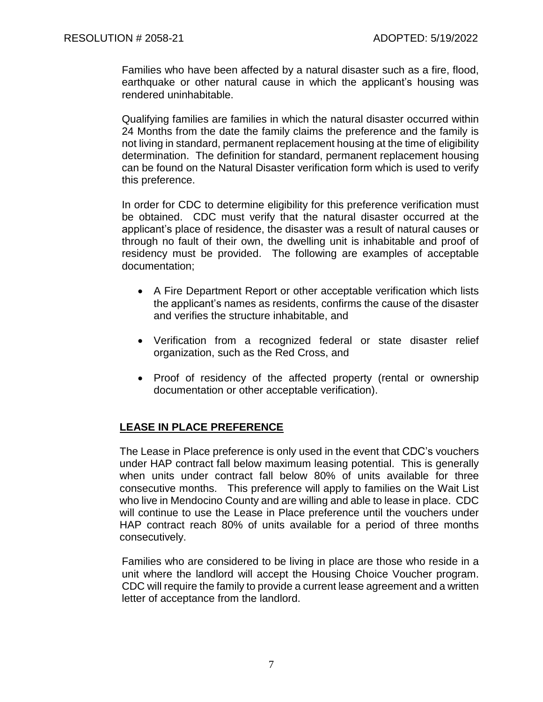Families who have been affected by a natural disaster such as a fire, flood, earthquake or other natural cause in which the applicant's housing was rendered uninhabitable.

Qualifying families are families in which the natural disaster occurred within 24 Months from the date the family claims the preference and the family is not living in standard, permanent replacement housing at the time of eligibility determination. The definition for standard, permanent replacement housing can be found on the Natural Disaster verification form which is used to verify this preference.

In order for CDC to determine eligibility for this preference verification must be obtained. CDC must verify that the natural disaster occurred at the applicant's place of residence, the disaster was a result of natural causes or through no fault of their own, the dwelling unit is inhabitable and proof of residency must be provided. The following are examples of acceptable documentation;

- A Fire Department Report or other acceptable verification which lists the applicant's names as residents, confirms the cause of the disaster and verifies the structure inhabitable, and
- Verification from a recognized federal or state disaster relief organization, such as the Red Cross, and
- Proof of residency of the affected property (rental or ownership documentation or other acceptable verification).

# **LEASE IN PLACE PREFERENCE**

The Lease in Place preference is only used in the event that CDC's vouchers under HAP contract fall below maximum leasing potential. This is generally when units under contract fall below 80% of units available for three consecutive months. This preference will apply to families on the Wait List who live in Mendocino County and are willing and able to lease in place. CDC will continue to use the Lease in Place preference until the vouchers under HAP contract reach 80% of units available for a period of three months consecutively.

Families who are considered to be living in place are those who reside in a unit where the landlord will accept the Housing Choice Voucher program. CDC will require the family to provide a current lease agreement and a written letter of acceptance from the landlord.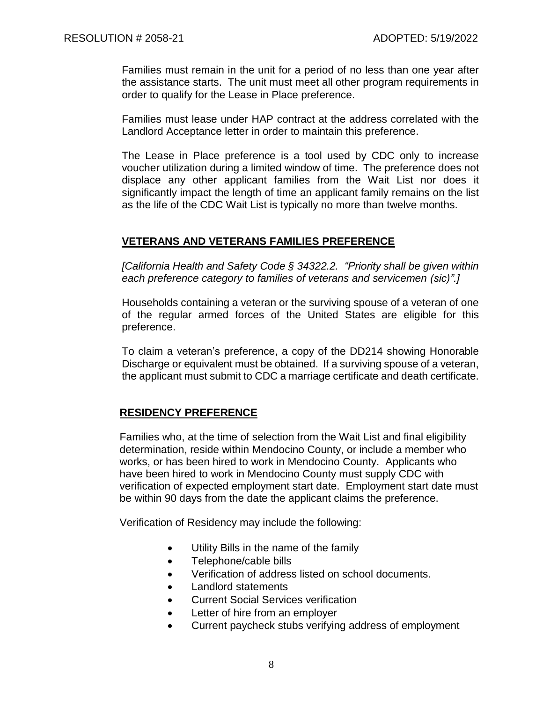Families must remain in the unit for a period of no less than one year after the assistance starts. The unit must meet all other program requirements in order to qualify for the Lease in Place preference.

Families must lease under HAP contract at the address correlated with the Landlord Acceptance letter in order to maintain this preference.

The Lease in Place preference is a tool used by CDC only to increase voucher utilization during a limited window of time. The preference does not displace any other applicant families from the Wait List nor does it significantly impact the length of time an applicant family remains on the list as the life of the CDC Wait List is typically no more than twelve months.

#### **VETERANS AND VETERANS FAMILIES PREFERENCE**

*[California Health and Safety Code § 34322.2. "Priority shall be given within each preference category to families of veterans and servicemen (sic)".]*

Households containing a veteran or the surviving spouse of a veteran of one of the regular armed forces of the United States are eligible for this preference.

To claim a veteran's preference, a copy of the DD214 showing Honorable Discharge or equivalent must be obtained. If a surviving spouse of a veteran, the applicant must submit to CDC a marriage certificate and death certificate.

## **RESIDENCY PREFERENCE**

Families who, at the time of selection from the Wait List and final eligibility determination, reside within Mendocino County, or include a member who works, or has been hired to work in Mendocino County. Applicants who have been hired to work in Mendocino County must supply CDC with verification of expected employment start date. Employment start date must be within 90 days from the date the applicant claims the preference.

Verification of Residency may include the following:

- Utility Bills in the name of the family
- Telephone/cable bills
- Verification of address listed on school documents.
- Landlord statements
- Current Social Services verification
- Letter of hire from an employer
- Current paycheck stubs verifying address of employment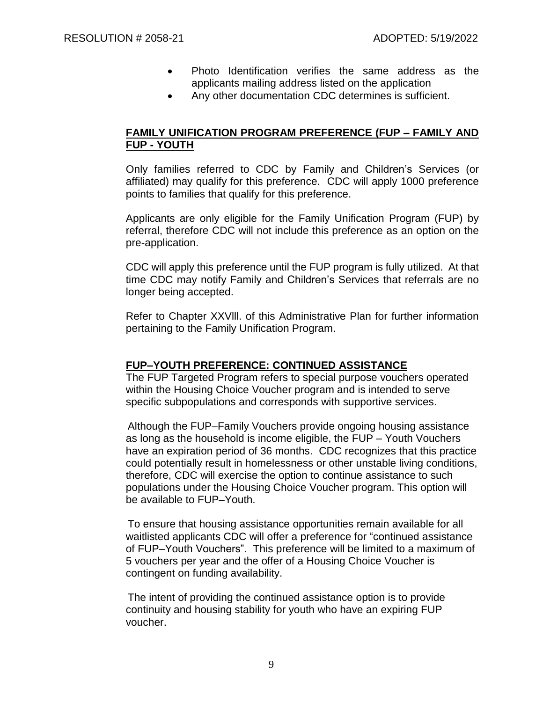- Photo Identification verifies the same address as the applicants mailing address listed on the application
- Any other documentation CDC determines is sufficient.

## **FAMILY UNIFICATION PROGRAM PREFERENCE (FUP – FAMILY AND FUP - YOUTH**

Only families referred to CDC by Family and Children's Services (or affiliated) may qualify for this preference. CDC will apply 1000 preference points to families that qualify for this preference.

Applicants are only eligible for the Family Unification Program (FUP) by referral, therefore CDC will not include this preference as an option on the pre-application.

CDC will apply this preference until the FUP program is fully utilized. At that time CDC may notify Family and Children's Services that referrals are no longer being accepted.

Refer to Chapter XXVlll. of this Administrative Plan for further information pertaining to the Family Unification Program.

#### **FUP–YOUTH PREFERENCE: CONTINUED ASSISTANCE**

The FUP Targeted Program refers to special purpose vouchers operated within the Housing Choice Voucher program and is intended to serve specific subpopulations and corresponds with supportive services.

Although the FUP–Family Vouchers provide ongoing housing assistance as long as the household is income eligible, the FUP – Youth Vouchers have an expiration period of 36 months. CDC recognizes that this practice could potentially result in homelessness or other unstable living conditions, therefore, CDC will exercise the option to continue assistance to such populations under the Housing Choice Voucher program. This option will be available to FUP–Youth.

To ensure that housing assistance opportunities remain available for all waitlisted applicants CDC will offer a preference for "continued assistance of FUP–Youth Vouchers". This preference will be limited to a maximum of 5 vouchers per year and the offer of a Housing Choice Voucher is contingent on funding availability.

The intent of providing the continued assistance option is to provide continuity and housing stability for youth who have an expiring FUP voucher.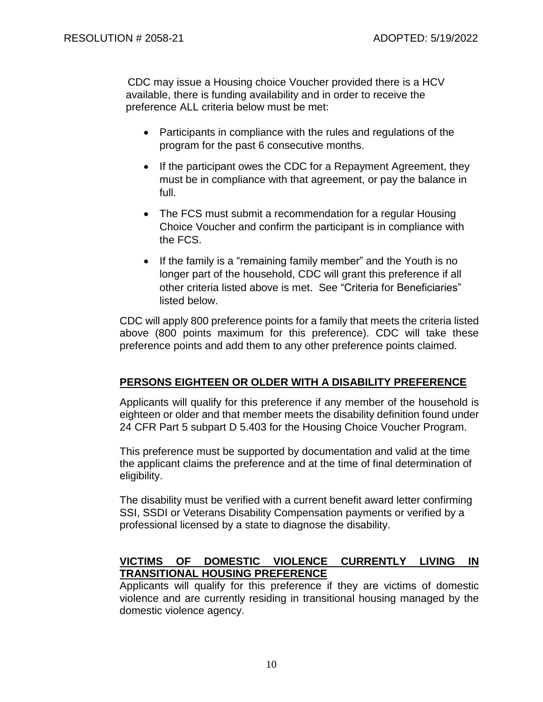CDC may issue a Housing choice Voucher provided there is a HCV available, there is funding availability and in order to receive the preference ALL criteria below must be met:

- Participants in compliance with the rules and regulations of the program for the past 6 consecutive months.
- If the participant owes the CDC for a Repayment Agreement, they must be in compliance with that agreement, or pay the balance in full.
- The FCS must submit a recommendation for a regular Housing Choice Voucher and confirm the participant is in compliance with the FCS.
- If the family is a "remaining family member" and the Youth is no longer part of the household, CDC will grant this preference if all other criteria listed above is met. See "Criteria for Beneficiaries" listed below.

CDC will apply 800 preference points for a family that meets the criteria listed above (800 points maximum for this preference). CDC will take these preference points and add them to any other preference points claimed.

# **PERSONS EIGHTEEN OR OLDER WITH A DISABILITY PREFERENCE**

Applicants will qualify for this preference if any member of the household is eighteen or older and that member meets the disability definition found under 24 CFR Part 5 subpart D 5.403 for the Housing Choice Voucher Program.

This preference must be supported by documentation and valid at the time the applicant claims the preference and at the time of final determination of eligibility.

The disability must be verified with a current benefit award letter confirming SSI, SSDI or Veterans Disability Compensation payments or verified by a professional licensed by a state to diagnose the disability.

# **VICTIMS OF DOMESTIC VIOLENCE CURRENTLY LIVING IN TRANSITIONAL HOUSING PREFERENCE**

Applicants will qualify for this preference if they are victims of domestic violence and are currently residing in transitional housing managed by the domestic violence agency.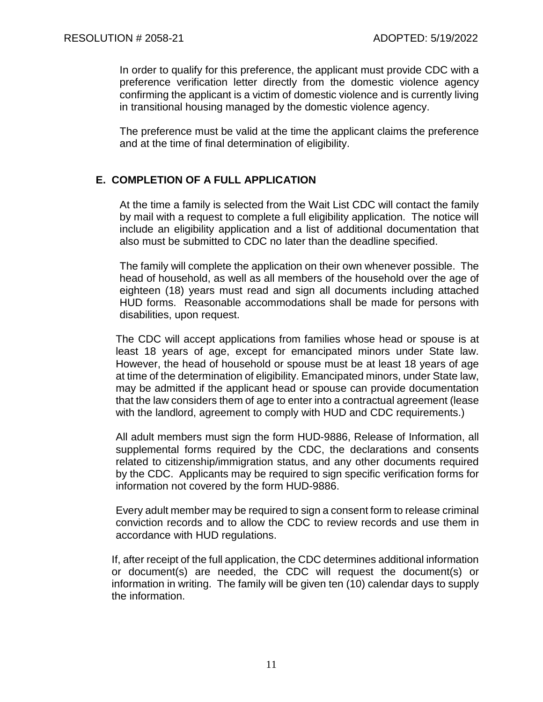In order to qualify for this preference, the applicant must provide CDC with a preference verification letter directly from the domestic violence agency confirming the applicant is a victim of domestic violence and is currently living in transitional housing managed by the domestic violence agency.

The preference must be valid at the time the applicant claims the preference and at the time of final determination of eligibility.

## **E. COMPLETION OF A FULL APPLICATION**

At the time a family is selected from the Wait List CDC will contact the family by mail with a request to complete a full eligibility application. The notice will include an eligibility application and a list of additional documentation that also must be submitted to CDC no later than the deadline specified.

The family will complete the application on their own whenever possible. The head of household, as well as all members of the household over the age of eighteen (18) years must read and sign all documents including attached HUD forms. Reasonable accommodations shall be made for persons with disabilities, upon request.

The CDC will accept applications from families whose head or spouse is at least 18 years of age, except for emancipated minors under State law. However, the head of household or spouse must be at least 18 years of age at time of the determination of eligibility. Emancipated minors, under State law, may be admitted if the applicant head or spouse can provide documentation that the law considers them of age to enter into a contractual agreement (lease with the landlord, agreement to comply with HUD and CDC requirements.)

All adult members must sign the form HUD-9886, Release of Information, all supplemental forms required by the CDC, the declarations and consents related to citizenship/immigration status, and any other documents required by the CDC. Applicants may be required to sign specific verification forms for information not covered by the form HUD-9886.

Every adult member may be required to sign a consent form to release criminal conviction records and to allow the CDC to review records and use them in accordance with HUD regulations.

If, after receipt of the full application, the CDC determines additional information or document(s) are needed, the CDC will request the document(s) or information in writing. The family will be given ten (10) calendar days to supply the information.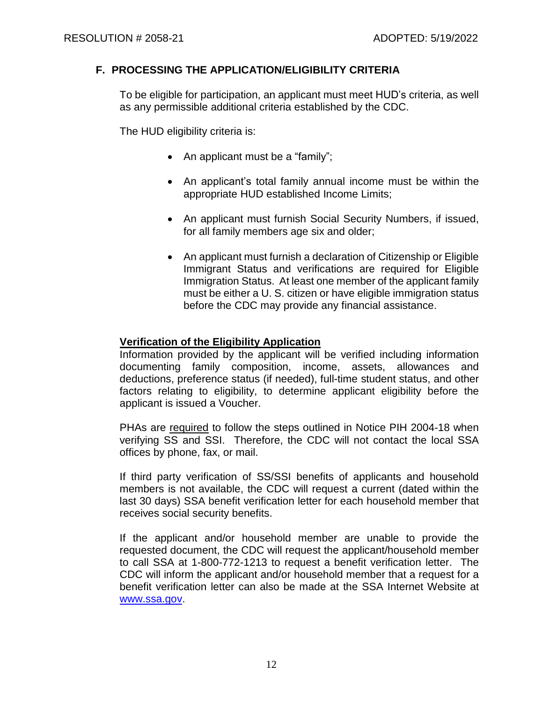## **F. PROCESSING THE APPLICATION/ELIGIBILITY CRITERIA**

To be eligible for participation, an applicant must meet HUD's criteria, as well as any permissible additional criteria established by the CDC.

The HUD eligibility criteria is:

- An applicant must be a "family";
- An applicant's total family annual income must be within the appropriate HUD established Income Limits;
- An applicant must furnish Social Security Numbers, if issued, for all family members age six and older;
- An applicant must furnish a declaration of Citizenship or Eligible Immigrant Status and verifications are required for Eligible Immigration Status. At least one member of the applicant family must be either a U. S. citizen or have eligible immigration status before the CDC may provide any financial assistance.

## **Verification of the Eligibility Application**

Information provided by the applicant will be verified including information documenting family composition, income, assets, allowances and deductions, preference status (if needed), full-time student status, and other factors relating to eligibility, to determine applicant eligibility before the applicant is issued a Voucher.

PHAs are required to follow the steps outlined in Notice PIH 2004-18 when verifying SS and SSI. Therefore, the CDC will not contact the local SSA offices by phone, fax, or mail.

If third party verification of SS/SSI benefits of applicants and household members is not available, the CDC will request a current (dated within the last 30 days) SSA benefit verification letter for each household member that receives social security benefits.

If the applicant and/or household member are unable to provide the requested document, the CDC will request the applicant/household member to call SSA at 1-800-772-1213 to request a benefit verification letter. The CDC will inform the applicant and/or household member that a request for a benefit verification letter can also be made at the SSA Internet Website at [www.ssa.gov.](http://www.ssa.gov/)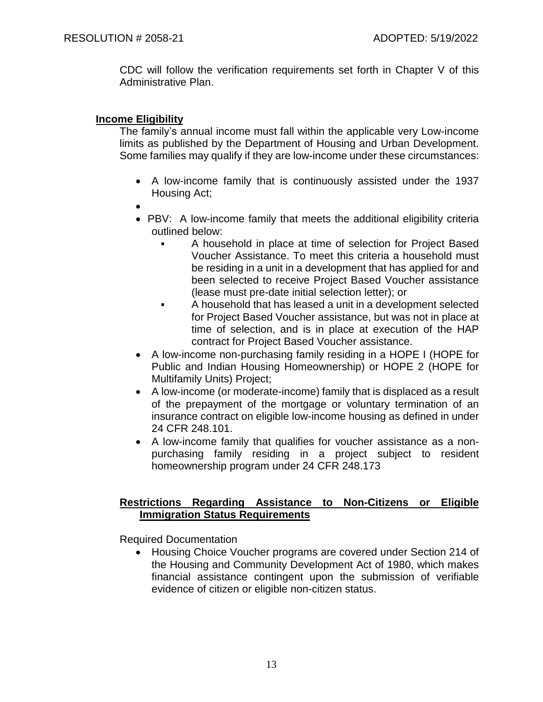CDC will follow the verification requirements set forth in Chapter V of this Administrative Plan.

#### **Income Eligibility**

The family's annual income must fall within the applicable very Low-income limits as published by the Department of Housing and Urban Development. Some families may qualify if they are low-income under these circumstances:

- A low-income family that is continuously assisted under the 1937 Housing Act;
- •
- PBV: A low-income family that meets the additional eligibility criteria outlined below:
	- A household in place at time of selection for Project Based Voucher Assistance. To meet this criteria a household must be residing in a unit in a development that has applied for and been selected to receive Project Based Voucher assistance (lease must pre-date initial selection letter); or
	- A household that has leased a unit in a development selected for Project Based Voucher assistance, but was not in place at time of selection, and is in place at execution of the HAP contract for Project Based Voucher assistance.
- A low-income non-purchasing family residing in a HOPE I (HOPE for Public and Indian Housing Homeownership) or HOPE 2 (HOPE for Multifamily Units) Project;
- A low-income (or moderate-income) family that is displaced as a result of the prepayment of the mortgage or voluntary termination of an insurance contract on eligible low-income housing as defined in under 24 CFR 248.101.
- A low-income family that qualifies for voucher assistance as a nonpurchasing family residing in a project subject to resident homeownership program under 24 CFR 248.173

## **Restrictions Regarding Assistance to Non-Citizens or Eligible Immigration Status Requirements**

Required Documentation

• Housing Choice Voucher programs are covered under Section 214 of the Housing and Community Development Act of 1980, which makes financial assistance contingent upon the submission of verifiable evidence of citizen or eligible non-citizen status.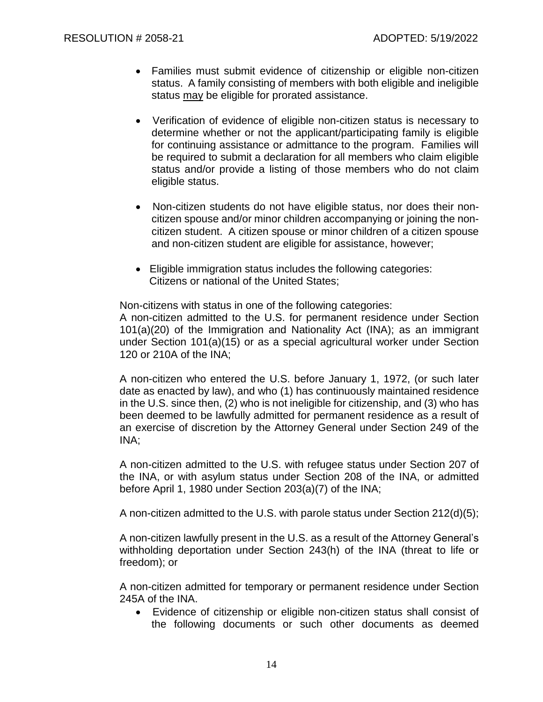- Families must submit evidence of citizenship or eligible non-citizen status. A family consisting of members with both eligible and ineligible status may be eligible for prorated assistance.
- Verification of evidence of eligible non-citizen status is necessary to determine whether or not the applicant/participating family is eligible for continuing assistance or admittance to the program. Families will be required to submit a declaration for all members who claim eligible status and/or provide a listing of those members who do not claim eligible status.
- Non-citizen students do not have eligible status, nor does their noncitizen spouse and/or minor children accompanying or joining the noncitizen student. A citizen spouse or minor children of a citizen spouse and non-citizen student are eligible for assistance, however;
- Eligible immigration status includes the following categories: Citizens or national of the United States;

Non-citizens with status in one of the following categories:

A non-citizen admitted to the U.S. for permanent residence under Section 101(a)(20) of the Immigration and Nationality Act (INA); as an immigrant under Section 101(a)(15) or as a special agricultural worker under Section 120 or 210A of the INA;

A non-citizen who entered the U.S. before January 1, 1972, (or such later date as enacted by law), and who (1) has continuously maintained residence in the U.S. since then, (2) who is not ineligible for citizenship, and (3) who has been deemed to be lawfully admitted for permanent residence as a result of an exercise of discretion by the Attorney General under Section 249 of the INA;

A non-citizen admitted to the U.S. with refugee status under Section 207 of the INA, or with asylum status under Section 208 of the INA, or admitted before April 1, 1980 under Section 203(a)(7) of the INA;

A non-citizen admitted to the U.S. with parole status under Section 212(d)(5);

A non-citizen lawfully present in the U.S. as a result of the Attorney General's withholding deportation under Section 243(h) of the INA (threat to life or freedom); or

A non-citizen admitted for temporary or permanent residence under Section 245A of the INA.

• Evidence of citizenship or eligible non-citizen status shall consist of the following documents or such other documents as deemed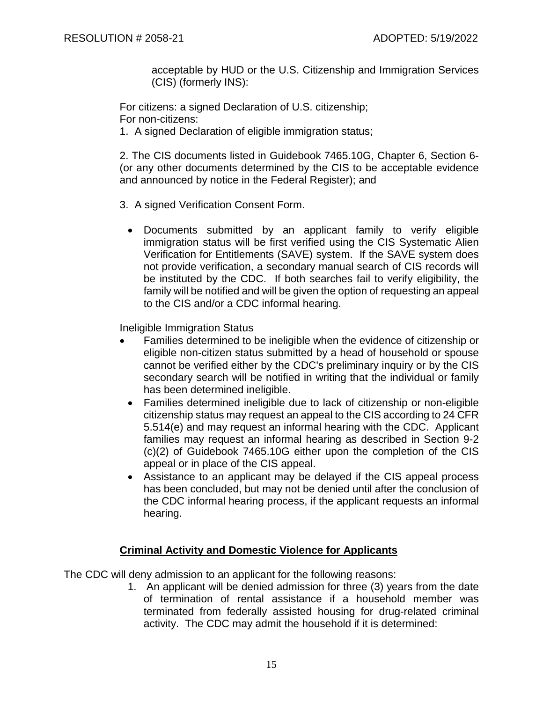acceptable by HUD or the U.S. Citizenship and Immigration Services (CIS) (formerly INS):

For citizens: a signed Declaration of U.S. citizenship; For non-citizens:

1. A signed Declaration of eligible immigration status;

2. The CIS documents listed in Guidebook 7465.10G, Chapter 6, Section 6- (or any other documents determined by the CIS to be acceptable evidence and announced by notice in the Federal Register); and

- 3. A signed Verification Consent Form.
	- Documents submitted by an applicant family to verify eligible immigration status will be first verified using the CIS Systematic Alien Verification for Entitlements (SAVE) system. If the SAVE system does not provide verification, a secondary manual search of CIS records will be instituted by the CDC. If both searches fail to verify eligibility, the family will be notified and will be given the option of requesting an appeal to the CIS and/or a CDC informal hearing.

Ineligible Immigration Status

- Families determined to be ineligible when the evidence of citizenship or eligible non-citizen status submitted by a head of household or spouse cannot be verified either by the CDC's preliminary inquiry or by the CIS secondary search will be notified in writing that the individual or family has been determined ineligible.
	- Families determined ineligible due to lack of citizenship or non-eligible citizenship status may request an appeal to the CIS according to 24 CFR 5.514(e) and may request an informal hearing with the CDC. Applicant families may request an informal hearing as described in Section 9-2 (c)(2) of Guidebook 7465.10G either upon the completion of the CIS appeal or in place of the CIS appeal.
	- Assistance to an applicant may be delayed if the CIS appeal process has been concluded, but may not be denied until after the conclusion of the CDC informal hearing process, if the applicant requests an informal hearing.

## **Criminal Activity and Domestic Violence for Applicants**

The CDC will deny admission to an applicant for the following reasons:

1. An applicant will be denied admission for three (3) years from the date of termination of rental assistance if a household member was terminated from federally assisted housing for drug-related criminal activity. The CDC may admit the household if it is determined: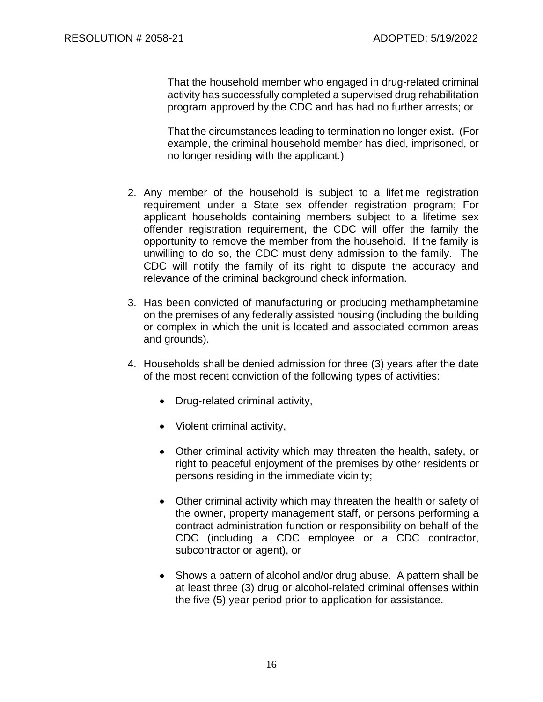That the household member who engaged in drug-related criminal activity has successfully completed a supervised drug rehabilitation program approved by the CDC and has had no further arrests; or

That the circumstances leading to termination no longer exist. (For example, the criminal household member has died, imprisoned, or no longer residing with the applicant.)

- 2. Any member of the household is subject to a lifetime registration requirement under a State sex offender registration program; For applicant households containing members subject to a lifetime sex offender registration requirement, the CDC will offer the family the opportunity to remove the member from the household. If the family is unwilling to do so, the CDC must deny admission to the family. The CDC will notify the family of its right to dispute the accuracy and relevance of the criminal background check information.
- 3. Has been convicted of manufacturing or producing methamphetamine on the premises of any federally assisted housing (including the building or complex in which the unit is located and associated common areas and grounds).
- 4. Households shall be denied admission for three (3) years after the date of the most recent conviction of the following types of activities:
	- Drug-related criminal activity,
	- Violent criminal activity,
	- Other criminal activity which may threaten the health, safety, or right to peaceful enjoyment of the premises by other residents or persons residing in the immediate vicinity;
	- Other criminal activity which may threaten the health or safety of the owner, property management staff, or persons performing a contract administration function or responsibility on behalf of the CDC (including a CDC employee or a CDC contractor, subcontractor or agent), or
	- Shows a pattern of alcohol and/or drug abuse. A pattern shall be at least three (3) drug or alcohol-related criminal offenses within the five (5) year period prior to application for assistance.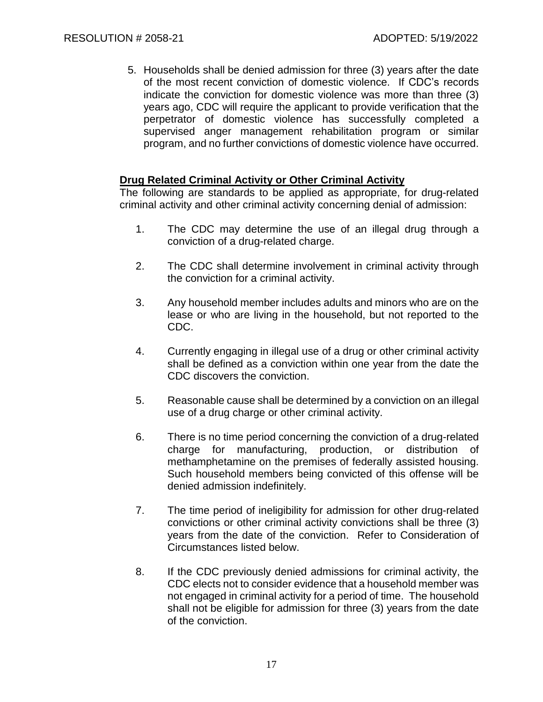5. Households shall be denied admission for three (3) years after the date of the most recent conviction of domestic violence. If CDC's records indicate the conviction for domestic violence was more than three (3) years ago, CDC will require the applicant to provide verification that the perpetrator of domestic violence has successfully completed a supervised anger management rehabilitation program or similar program, and no further convictions of domestic violence have occurred.

## **Drug Related Criminal Activity or Other Criminal Activity**

The following are standards to be applied as appropriate, for drug-related criminal activity and other criminal activity concerning denial of admission:

- 1. The CDC may determine the use of an illegal drug through a conviction of a drug-related charge.
- 2. The CDC shall determine involvement in criminal activity through the conviction for a criminal activity.
- 3. Any household member includes adults and minors who are on the lease or who are living in the household, but not reported to the CDC.
- 4. Currently engaging in illegal use of a drug or other criminal activity shall be defined as a conviction within one year from the date the CDC discovers the conviction.
- 5. Reasonable cause shall be determined by a conviction on an illegal use of a drug charge or other criminal activity.
- 6. There is no time period concerning the conviction of a drug-related charge for manufacturing, production, or distribution of methamphetamine on the premises of federally assisted housing. Such household members being convicted of this offense will be denied admission indefinitely.
- 7. The time period of ineligibility for admission for other drug-related convictions or other criminal activity convictions shall be three (3) years from the date of the conviction. Refer to Consideration of Circumstances listed below.
- 8. If the CDC previously denied admissions for criminal activity, the CDC elects not to consider evidence that a household member was not engaged in criminal activity for a period of time. The household shall not be eligible for admission for three (3) years from the date of the conviction.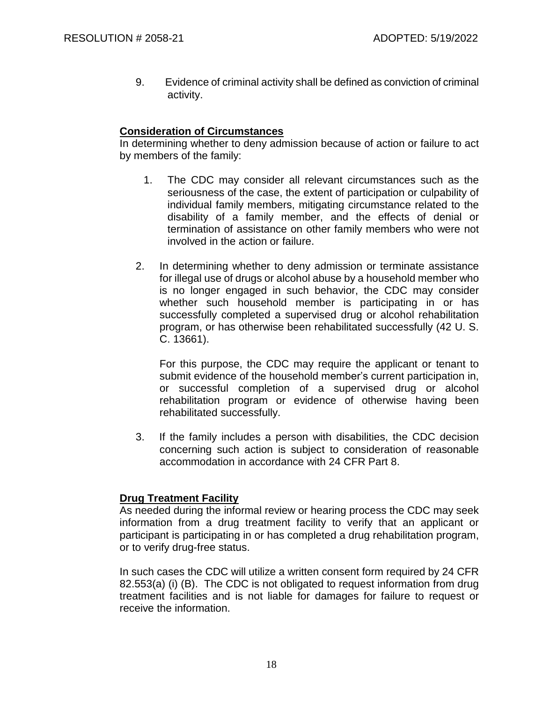9. Evidence of criminal activity shall be defined as conviction of criminal activity.

## **Consideration of Circumstances**

In determining whether to deny admission because of action or failure to act by members of the family:

- 1. The CDC may consider all relevant circumstances such as the seriousness of the case, the extent of participation or culpability of individual family members, mitigating circumstance related to the disability of a family member, and the effects of denial or termination of assistance on other family members who were not involved in the action or failure.
- 2. In determining whether to deny admission or terminate assistance for illegal use of drugs or alcohol abuse by a household member who is no longer engaged in such behavior, the CDC may consider whether such household member is participating in or has successfully completed a supervised drug or alcohol rehabilitation program, or has otherwise been rehabilitated successfully (42 U. S. C. 13661).

For this purpose, the CDC may require the applicant or tenant to submit evidence of the household member's current participation in, or successful completion of a supervised drug or alcohol rehabilitation program or evidence of otherwise having been rehabilitated successfully.

3. If the family includes a person with disabilities, the CDC decision concerning such action is subject to consideration of reasonable accommodation in accordance with 24 CFR Part 8.

## **Drug Treatment Facility**

As needed during the informal review or hearing process the CDC may seek information from a drug treatment facility to verify that an applicant or participant is participating in or has completed a drug rehabilitation program, or to verify drug-free status.

In such cases the CDC will utilize a written consent form required by 24 CFR 82.553(a) (i) (B). The CDC is not obligated to request information from drug treatment facilities and is not liable for damages for failure to request or receive the information.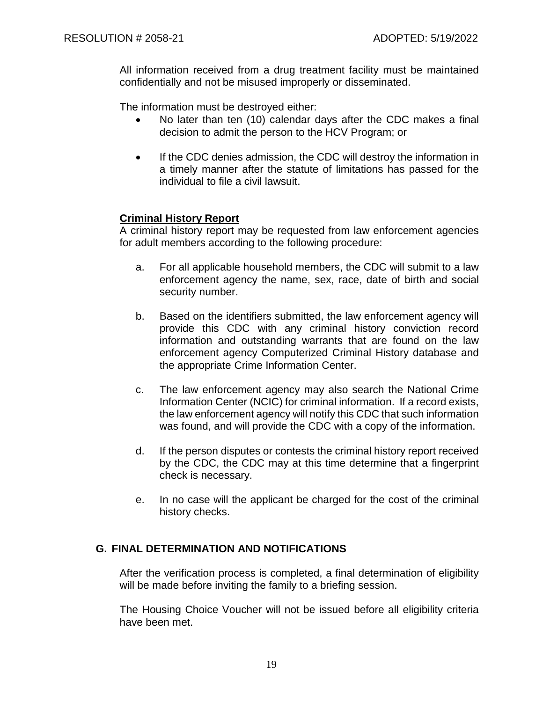All information received from a drug treatment facility must be maintained confidentially and not be misused improperly or disseminated.

The information must be destroyed either:

- No later than ten (10) calendar days after the CDC makes a final decision to admit the person to the HCV Program; or
- If the CDC denies admission, the CDC will destroy the information in a timely manner after the statute of limitations has passed for the individual to file a civil lawsuit.

## **Criminal History Report**

A criminal history report may be requested from law enforcement agencies for adult members according to the following procedure:

- a. For all applicable household members, the CDC will submit to a law enforcement agency the name, sex, race, date of birth and social security number.
- b. Based on the identifiers submitted, the law enforcement agency will provide this CDC with any criminal history conviction record information and outstanding warrants that are found on the law enforcement agency Computerized Criminal History database and the appropriate Crime Information Center.
- c. The law enforcement agency may also search the National Crime Information Center (NCIC) for criminal information. If a record exists, the law enforcement agency will notify this CDC that such information was found, and will provide the CDC with a copy of the information.
- d. If the person disputes or contests the criminal history report received by the CDC, the CDC may at this time determine that a fingerprint check is necessary.
- e. In no case will the applicant be charged for the cost of the criminal history checks.

## **G. FINAL DETERMINATION AND NOTIFICATIONS**

After the verification process is completed, a final determination of eligibility will be made before inviting the family to a briefing session.

The Housing Choice Voucher will not be issued before all eligibility criteria have been met.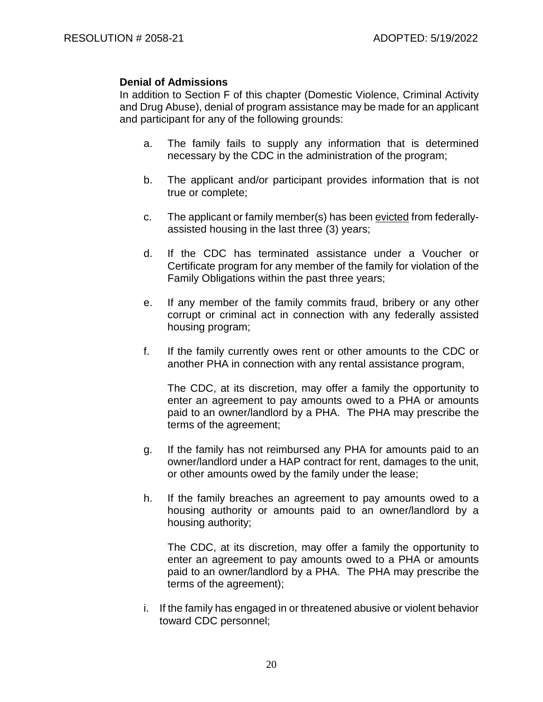#### **Denial of Admissions**

In addition to Section F of this chapter (Domestic Violence, Criminal Activity and Drug Abuse), denial of program assistance may be made for an applicant and participant for any of the following grounds:

- a. The family fails to supply any information that is determined necessary by the CDC in the administration of the program;
- b. The applicant and/or participant provides information that is not true or complete;
- c. The applicant or family member(s) has been evicted from federallyassisted housing in the last three (3) years;
- d. If the CDC has terminated assistance under a Voucher or Certificate program for any member of the family for violation of the Family Obligations within the past three years;
- e. If any member of the family commits fraud, bribery or any other corrupt or criminal act in connection with any federally assisted housing program;
- f. If the family currently owes rent or other amounts to the CDC or another PHA in connection with any rental assistance program,

The CDC, at its discretion, may offer a family the opportunity to enter an agreement to pay amounts owed to a PHA or amounts paid to an owner/landlord by a PHA. The PHA may prescribe the terms of the agreement;

- g. If the family has not reimbursed any PHA for amounts paid to an owner/landlord under a HAP contract for rent, damages to the unit, or other amounts owed by the family under the lease;
- h. If the family breaches an agreement to pay amounts owed to a housing authority or amounts paid to an owner/landlord by a housing authority;

The CDC, at its discretion, may offer a family the opportunity to enter an agreement to pay amounts owed to a PHA or amounts paid to an owner/landlord by a PHA. The PHA may prescribe the terms of the agreement);

i. If the family has engaged in or threatened abusive or violent behavior toward CDC personnel;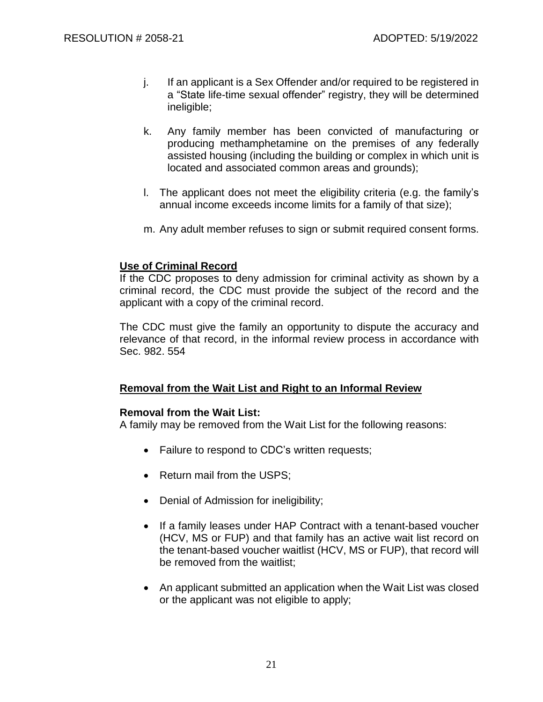- j. If an applicant is a Sex Offender and/or required to be registered in a "State life-time sexual offender" registry, they will be determined ineligible;
- k. Any family member has been convicted of manufacturing or producing methamphetamine on the premises of any federally assisted housing (including the building or complex in which unit is located and associated common areas and grounds);
- l. The applicant does not meet the eligibility criteria (e.g. the family's annual income exceeds income limits for a family of that size);
- m. Any adult member refuses to sign or submit required consent forms.

## **Use of Criminal Record**

If the CDC proposes to deny admission for criminal activity as shown by a criminal record, the CDC must provide the subject of the record and the applicant with a copy of the criminal record.

The CDC must give the family an opportunity to dispute the accuracy and relevance of that record, in the informal review process in accordance with Sec. 982. 554

## **Removal from the Wait List and Right to an Informal Review**

## **Removal from the Wait List:**

A family may be removed from the Wait List for the following reasons:

- Failure to respond to CDC's written requests;
- Return mail from the USPS:
- Denial of Admission for ineligibility;
- If a family leases under HAP Contract with a tenant-based voucher (HCV, MS or FUP) and that family has an active wait list record on the tenant-based voucher waitlist (HCV, MS or FUP), that record will be removed from the waitlist;
- An applicant submitted an application when the Wait List was closed or the applicant was not eligible to apply;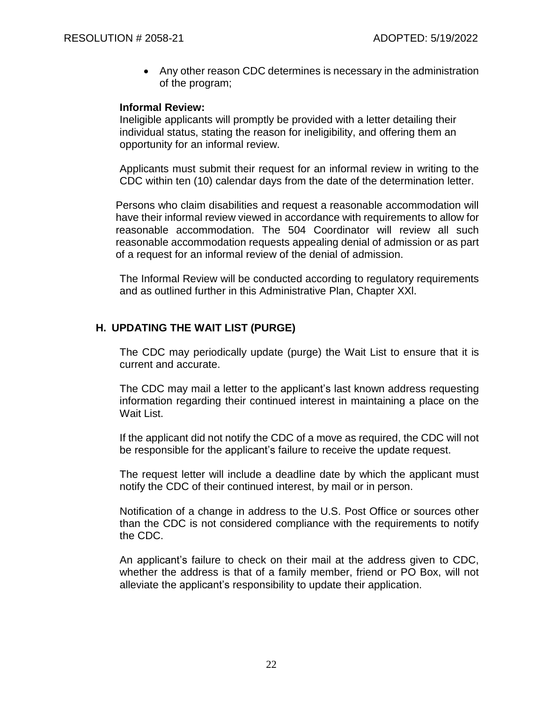• Any other reason CDC determines is necessary in the administration of the program;

#### **Informal Review:**

Ineligible applicants will promptly be provided with a letter detailing their individual status, stating the reason for ineligibility, and offering them an opportunity for an informal review.

Applicants must submit their request for an informal review in writing to the CDC within ten (10) calendar days from the date of the determination letter.

Persons who claim disabilities and request a reasonable accommodation will have their informal review viewed in accordance with requirements to allow for reasonable accommodation. The 504 Coordinator will review all such reasonable accommodation requests appealing denial of admission or as part of a request for an informal review of the denial of admission.

The Informal Review will be conducted according to regulatory requirements and as outlined further in this Administrative Plan, Chapter XXl.

## **H. UPDATING THE WAIT LIST (PURGE)**

The CDC may periodically update (purge) the Wait List to ensure that it is current and accurate.

The CDC may mail a letter to the applicant's last known address requesting information regarding their continued interest in maintaining a place on the Wait List.

If the applicant did not notify the CDC of a move as required, the CDC will not be responsible for the applicant's failure to receive the update request.

The request letter will include a deadline date by which the applicant must notify the CDC of their continued interest, by mail or in person.

Notification of a change in address to the U.S. Post Office or sources other than the CDC is not considered compliance with the requirements to notify the CDC.

An applicant's failure to check on their mail at the address given to CDC, whether the address is that of a family member, friend or PO Box, will not alleviate the applicant's responsibility to update their application.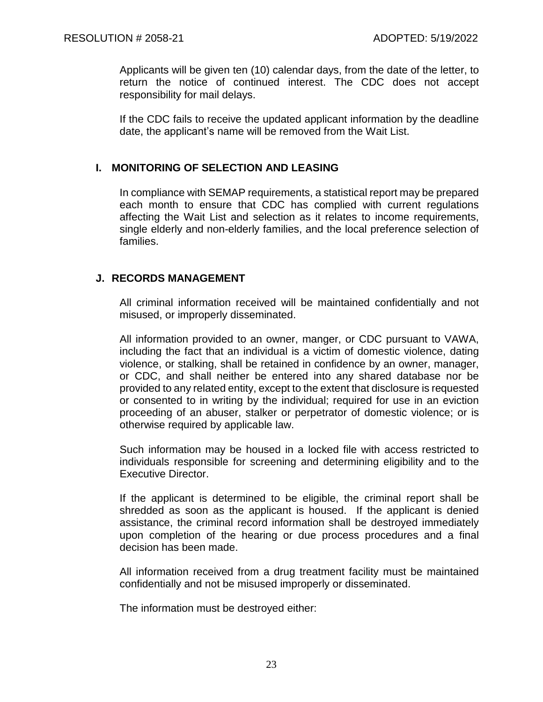Applicants will be given ten (10) calendar days, from the date of the letter, to return the notice of continued interest. The CDC does not accept responsibility for mail delays.

If the CDC fails to receive the updated applicant information by the deadline date, the applicant's name will be removed from the Wait List.

## **I. MONITORING OF SELECTION AND LEASING**

In compliance with SEMAP requirements, a statistical report may be prepared each month to ensure that CDC has complied with current regulations affecting the Wait List and selection as it relates to income requirements, single elderly and non-elderly families, and the local preference selection of families.

## **J. RECORDS MANAGEMENT**

All criminal information received will be maintained confidentially and not misused, or improperly disseminated.

All information provided to an owner, manger, or CDC pursuant to VAWA, including the fact that an individual is a victim of domestic violence, dating violence, or stalking, shall be retained in confidence by an owner, manager, or CDC, and shall neither be entered into any shared database nor be provided to any related entity, except to the extent that disclosure is requested or consented to in writing by the individual; required for use in an eviction proceeding of an abuser, stalker or perpetrator of domestic violence; or is otherwise required by applicable law.

Such information may be housed in a locked file with access restricted to individuals responsible for screening and determining eligibility and to the Executive Director.

If the applicant is determined to be eligible, the criminal report shall be shredded as soon as the applicant is housed. If the applicant is denied assistance, the criminal record information shall be destroyed immediately upon completion of the hearing or due process procedures and a final decision has been made.

All information received from a drug treatment facility must be maintained confidentially and not be misused improperly or disseminated.

The information must be destroyed either: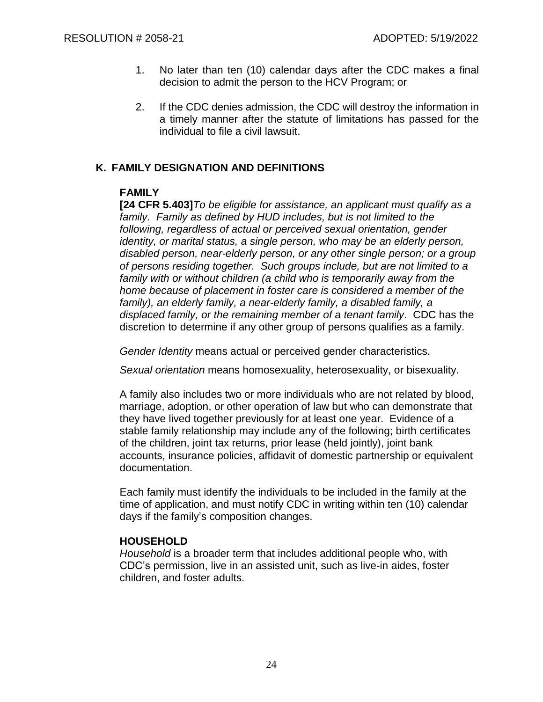- 1. No later than ten (10) calendar days after the CDC makes a final decision to admit the person to the HCV Program; or
- 2. If the CDC denies admission, the CDC will destroy the information in a timely manner after the statute of limitations has passed for the individual to file a civil lawsuit.

## **K. FAMILY DESIGNATION AND DEFINITIONS**

## **FAMILY**

**[24 CFR 5.403]***To be eligible for assistance, an applicant must qualify as a family. Family as defined by HUD includes, but is not limited to the following, regardless of actual or perceived sexual orientation, gender identity, or marital status, a single person, who may be an elderly person, disabled person, near-elderly person, or any other single person; or a group of persons residing together. Such groups include, but are not limited to a family with or without children (a child who is temporarily away from the home because of placement in foster care is considered a member of the family), an elderly family, a near-elderly family, a disabled family, a displaced family, or the remaining member of a tenant family*. CDC has the discretion to determine if any other group of persons qualifies as a family.

*Gender Identity* means actual or perceived gender characteristics.

*Sexual orientation* means homosexuality, heterosexuality, or bisexuality.

A family also includes two or more individuals who are not related by blood, marriage, adoption, or other operation of law but who can demonstrate that they have lived together previously for at least one year. Evidence of a stable family relationship may include any of the following; birth certificates of the children, joint tax returns, prior lease (held jointly), joint bank accounts, insurance policies, affidavit of domestic partnership or equivalent documentation.

Each family must identify the individuals to be included in the family at the time of application, and must notify CDC in writing within ten (10) calendar days if the family's composition changes.

## **HOUSEHOLD**

*Household* is a broader term that includes additional people who, with CDC's permission, live in an assisted unit, such as live-in aides, foster children, and foster adults.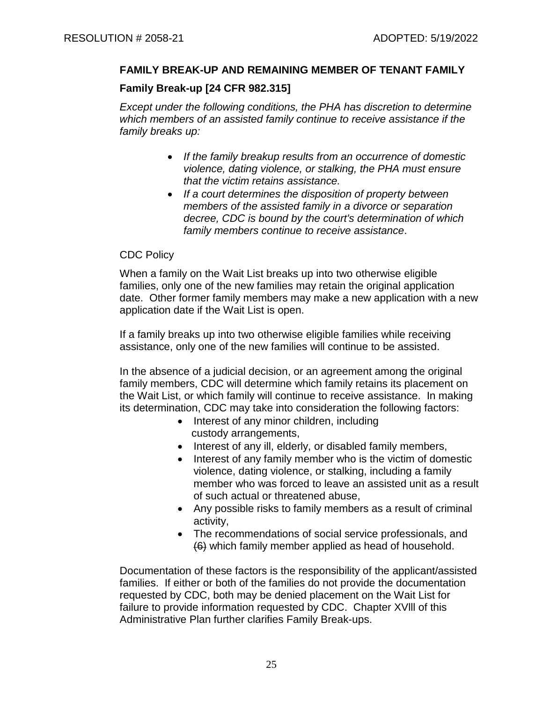## **FAMILY BREAK-UP AND REMAINING MEMBER OF TENANT FAMILY**

#### **Family Break-up [24 CFR 982.315]**

*Except under the following conditions, the PHA has discretion to determine which members of an assisted family continue to receive assistance if the family breaks up:*

- *If the family breakup results from an occurrence of domestic violence, dating violence, or stalking, the PHA must ensure that the victim retains assistance.*
- *If a court determines the disposition of property between members of the assisted family in a divorce or separation decree, CDC is bound by the court's determination of which family members continue to receive assistance*.

#### CDC Policy

When a family on the Wait List breaks up into two otherwise eligible families, only one of the new families may retain the original application date. Other former family members may make a new application with a new application date if the Wait List is open.

If a family breaks up into two otherwise eligible families while receiving assistance, only one of the new families will continue to be assisted.

In the absence of a judicial decision, or an agreement among the original family members, CDC will determine which family retains its placement on the Wait List, or which family will continue to receive assistance. In making its determination, CDC may take into consideration the following factors:

- Interest of any minor children, including custody arrangements,
- Interest of any ill, elderly, or disabled family members,
- Interest of any family member who is the victim of domestic violence, dating violence, or stalking, including a family member who was forced to leave an assisted unit as a result of such actual or threatened abuse,
- Any possible risks to family members as a result of criminal activity,
- The recommendations of social service professionals, and (6) which family member applied as head of household.

Documentation of these factors is the responsibility of the applicant/assisted families. If either or both of the families do not provide the documentation requested by CDC, both may be denied placement on the Wait List for failure to provide information requested by CDC. Chapter XVlll of this Administrative Plan further clarifies Family Break-ups.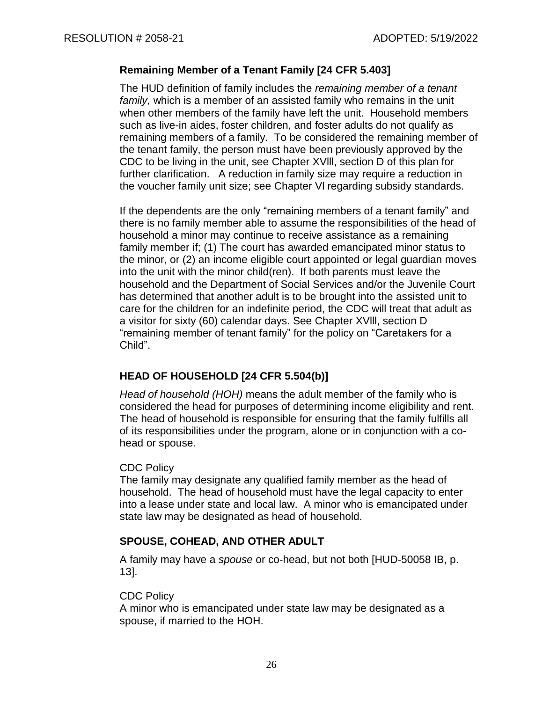#### **Remaining Member of a Tenant Family [24 CFR 5.403]**

The HUD definition of family includes the *remaining member of a tenant family,* which is a member of an assisted family who remains in the unit when other members of the family have left the unit. Household members such as live-in aides, foster children, and foster adults do not qualify as remaining members of a family. To be considered the remaining member of the tenant family, the person must have been previously approved by the CDC to be living in the unit, see Chapter XVlll, section D of this plan for further clarification. A reduction in family size may require a reduction in the voucher family unit size; see Chapter Vl regarding subsidy standards.

If the dependents are the only "remaining members of a tenant family" and there is no family member able to assume the responsibilities of the head of household a minor may continue to receive assistance as a remaining family member if; (1) The court has awarded emancipated minor status to the minor, or (2) an income eligible court appointed or legal guardian moves into the unit with the minor child(ren). If both parents must leave the household and the Department of Social Services and/or the Juvenile Court has determined that another adult is to be brought into the assisted unit to care for the children for an indefinite period, the CDC will treat that adult as a visitor for sixty (60) calendar days. See Chapter XVlll, section D "remaining member of tenant family" for the policy on "Caretakers for a Child".

## **HEAD OF HOUSEHOLD [24 CFR 5.504(b)]**

*Head of household (HOH)* means the adult member of the family who is considered the head for purposes of determining income eligibility and rent. The head of household is responsible for ensuring that the family fulfills all of its responsibilities under the program, alone or in conjunction with a cohead or spouse.

## CDC Policy

The family may designate any qualified family member as the head of household. The head of household must have the legal capacity to enter into a lease under state and local law. A minor who is emancipated under state law may be designated as head of household.

## **SPOUSE, COHEAD, AND OTHER ADULT**

A family may have a *spouse* or co-head, but not both [HUD-50058 IB, p. 13].

#### CDC Policy

A minor who is emancipated under state law may be designated as a spouse, if married to the HOH.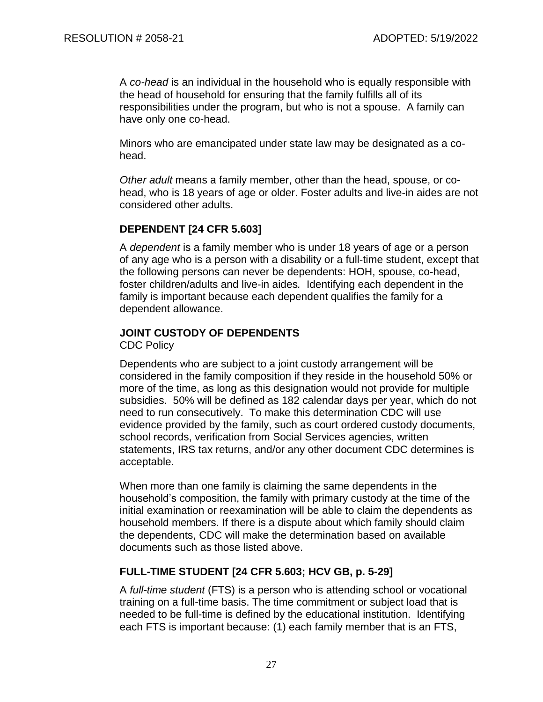A *co-head* is an individual in the household who is equally responsible with the head of household for ensuring that the family fulfills all of its responsibilities under the program, but who is not a spouse. A family can have only one co-head.

Minors who are emancipated under state law may be designated as a cohead.

*Other adult* means a family member, other than the head, spouse, or cohead, who is 18 years of age or older. Foster adults and live-in aides are not considered other adults.

## **DEPENDENT [24 CFR 5.603]**

A *dependent* is a family member who is under 18 years of age or a person of any age who is a person with a disability or a full-time student, except that the following persons can never be dependents: HOH, spouse, co-head, foster children/adults and live-in aides*.* Identifying each dependent in the family is important because each dependent qualifies the family for a dependent allowance.

# **JOINT CUSTODY OF DEPENDENTS**

CDC Policy

Dependents who are subject to a joint custody arrangement will be considered in the family composition if they reside in the household 50% or more of the time, as long as this designation would not provide for multiple subsidies. 50% will be defined as 182 calendar days per year, which do not need to run consecutively. To make this determination CDC will use evidence provided by the family, such as court ordered custody documents, school records, verification from Social Services agencies, written statements, IRS tax returns, and/or any other document CDC determines is acceptable.

When more than one family is claiming the same dependents in the household's composition, the family with primary custody at the time of the initial examination or reexamination will be able to claim the dependents as household members. If there is a dispute about which family should claim the dependents, CDC will make the determination based on available documents such as those listed above.

# **FULL-TIME STUDENT [24 CFR 5.603; HCV GB, p. 5-29]**

A *full-time student* (FTS) is a person who is attending school or vocational training on a full-time basis. The time commitment or subject load that is needed to be full-time is defined by the educational institution. Identifying each FTS is important because: (1) each family member that is an FTS,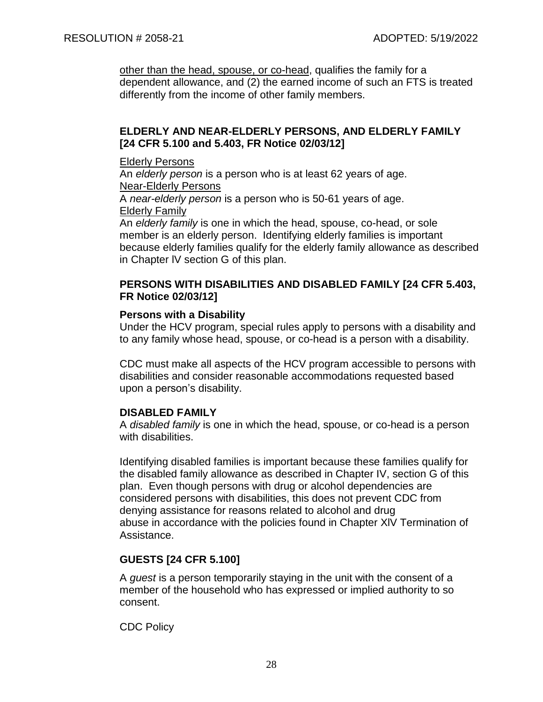other than the head, spouse, or co-head, qualifies the family for a dependent allowance, and (2) the earned income of such an FTS is treated differently from the income of other family members.

## **ELDERLY AND NEAR-ELDERLY PERSONS, AND ELDERLY FAMILY [24 CFR 5.100 and 5.403, FR Notice 02/03/12]**

#### Elderly Persons

An *elderly person* is a person who is at least 62 years of age. Near-Elderly Persons

A *near-elderly person* is a person who is 50-61 years of age. Elderly Family

An *elderly family* is one in which the head, spouse, co-head, or sole member is an elderly person. Identifying elderly families is important because elderly families qualify for the elderly family allowance as described in Chapter lV section G of this plan.

#### **PERSONS WITH DISABILITIES AND DISABLED FAMILY [24 CFR 5.403, FR Notice 02/03/12]**

## **Persons with a Disability**

Under the HCV program, special rules apply to persons with a disability and to any family whose head, spouse, or co-head is a person with a disability.

CDC must make all aspects of the HCV program accessible to persons with disabilities and consider reasonable accommodations requested based upon a person's disability.

## **DISABLED FAMILY**

A *disabled family* is one in which the head, spouse, or co-head is a person with disabilities.

Identifying disabled families is important because these families qualify for the disabled family allowance as described in Chapter IV, section G of this plan. Even though persons with drug or alcohol dependencies are considered persons with disabilities, this does not prevent CDC from denying assistance for reasons related to alcohol and drug abuse in accordance with the policies found in Chapter XlV Termination of Assistance.

## **GUESTS [24 CFR 5.100]**

A *guest* is a person temporarily staying in the unit with the consent of a member of the household who has expressed or implied authority to so consent.

CDC Policy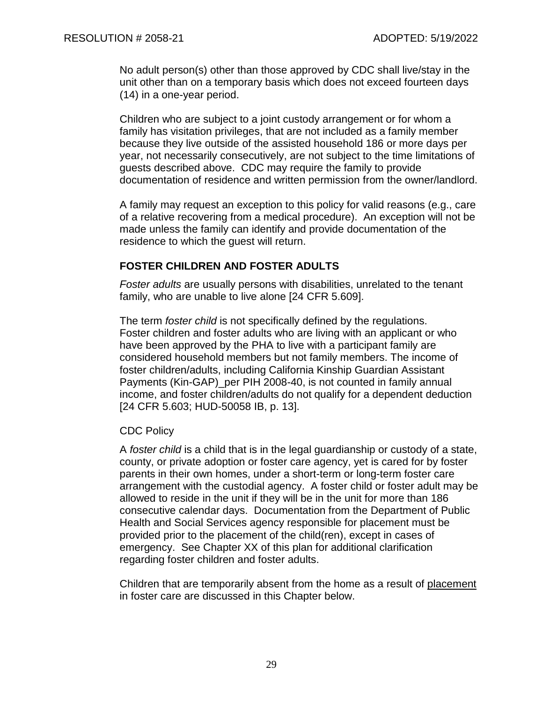No adult person(s) other than those approved by CDC shall live/stay in the unit other than on a temporary basis which does not exceed fourteen days (14) in a one-year period.

Children who are subject to a joint custody arrangement or for whom a family has visitation privileges, that are not included as a family member because they live outside of the assisted household 186 or more days per year, not necessarily consecutively, are not subject to the time limitations of guests described above. CDC may require the family to provide documentation of residence and written permission from the owner/landlord.

A family may request an exception to this policy for valid reasons (e.g., care of a relative recovering from a medical procedure). An exception will not be made unless the family can identify and provide documentation of the residence to which the guest will return.

#### **FOSTER CHILDREN AND FOSTER ADULTS**

*Foster adults* are usually persons with disabilities, unrelated to the tenant family, who are unable to live alone [24 CFR 5.609].

The term *foster child* is not specifically defined by the regulations. Foster children and foster adults who are living with an applicant or who have been approved by the PHA to live with a participant family are considered household members but not family members. The income of foster children/adults, including California Kinship Guardian Assistant Payments (Kin-GAP)\_per PIH 2008-40, is not counted in family annual income, and foster children/adults do not qualify for a dependent deduction [24 CFR 5.603; HUD-50058 IB, p. 13].

#### CDC Policy

A *foster child* is a child that is in the legal guardianship or custody of a state, county, or private adoption or foster care agency, yet is cared for by foster parents in their own homes, under a short-term or long-term foster care arrangement with the custodial agency. A foster child or foster adult may be allowed to reside in the unit if they will be in the unit for more than 186 consecutive calendar days. Documentation from the Department of Public Health and Social Services agency responsible for placement must be provided prior to the placement of the child(ren), except in cases of emergency. See Chapter XX of this plan for additional clarification regarding foster children and foster adults.

Children that are temporarily absent from the home as a result of placement in foster care are discussed in this Chapter below.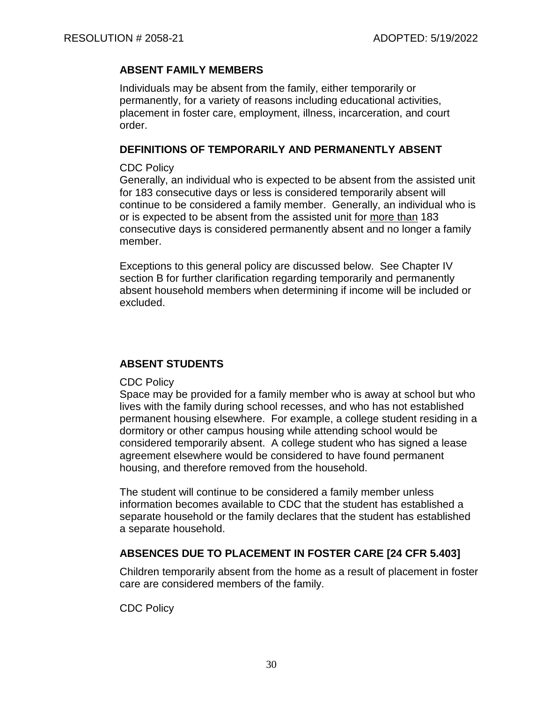## **ABSENT FAMILY MEMBERS**

Individuals may be absent from the family, either temporarily or permanently, for a variety of reasons including educational activities, placement in foster care, employment, illness, incarceration, and court order.

## **DEFINITIONS OF TEMPORARILY AND PERMANENTLY ABSENT**

#### CDC Policy

Generally, an individual who is expected to be absent from the assisted unit for 183 consecutive days or less is considered temporarily absent will continue to be considered a family member. Generally, an individual who is or is expected to be absent from the assisted unit for more than 183 consecutive days is considered permanently absent and no longer a family member.

Exceptions to this general policy are discussed below. See Chapter IV section B for further clarification regarding temporarily and permanently absent household members when determining if income will be included or excluded.

## **ABSENT STUDENTS**

## CDC Policy

Space may be provided for a family member who is away at school but who lives with the family during school recesses, and who has not established permanent housing elsewhere. For example, a college student residing in a dormitory or other campus housing while attending school would be considered temporarily absent. A college student who has signed a lease agreement elsewhere would be considered to have found permanent housing, and therefore removed from the household.

The student will continue to be considered a family member unless information becomes available to CDC that the student has established a separate household or the family declares that the student has established a separate household.

# **ABSENCES DUE TO PLACEMENT IN FOSTER CARE [24 CFR 5.403]**

Children temporarily absent from the home as a result of placement in foster care are considered members of the family.

CDC Policy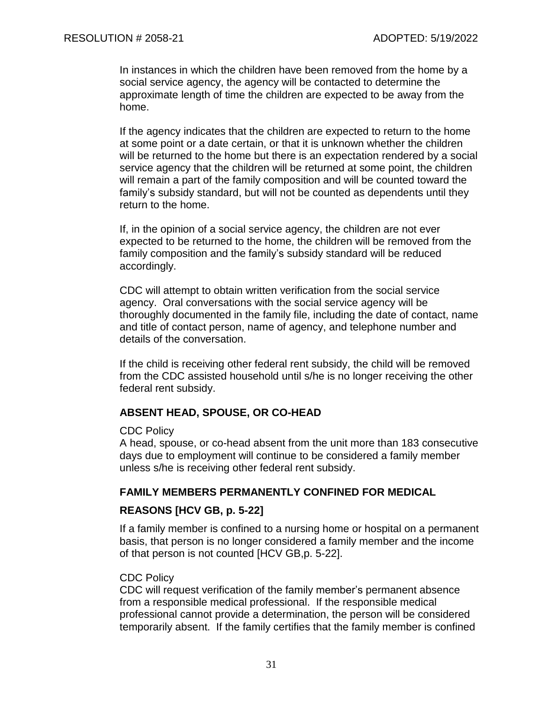In instances in which the children have been removed from the home by a social service agency, the agency will be contacted to determine the approximate length of time the children are expected to be away from the home.

If the agency indicates that the children are expected to return to the home at some point or a date certain, or that it is unknown whether the children will be returned to the home but there is an expectation rendered by a social service agency that the children will be returned at some point, the children will remain a part of the family composition and will be counted toward the family's subsidy standard, but will not be counted as dependents until they return to the home.

If, in the opinion of a social service agency, the children are not ever expected to be returned to the home, the children will be removed from the family composition and the family's subsidy standard will be reduced accordingly.

CDC will attempt to obtain written verification from the social service agency. Oral conversations with the social service agency will be thoroughly documented in the family file, including the date of contact, name and title of contact person, name of agency, and telephone number and details of the conversation.

If the child is receiving other federal rent subsidy, the child will be removed from the CDC assisted household until s/he is no longer receiving the other federal rent subsidy.

#### **ABSENT HEAD, SPOUSE, OR CO-HEAD**

#### CDC Policy

A head, spouse, or co-head absent from the unit more than 183 consecutive days due to employment will continue to be considered a family member unless s/he is receiving other federal rent subsidy.

#### **FAMILY MEMBERS PERMANENTLY CONFINED FOR MEDICAL**

#### **REASONS [HCV GB, p. 5-22]**

If a family member is confined to a nursing home or hospital on a permanent basis, that person is no longer considered a family member and the income of that person is not counted [HCV GB,p. 5-22].

#### CDC Policy

CDC will request verification of the family member's permanent absence from a responsible medical professional. If the responsible medical professional cannot provide a determination, the person will be considered temporarily absent. If the family certifies that the family member is confined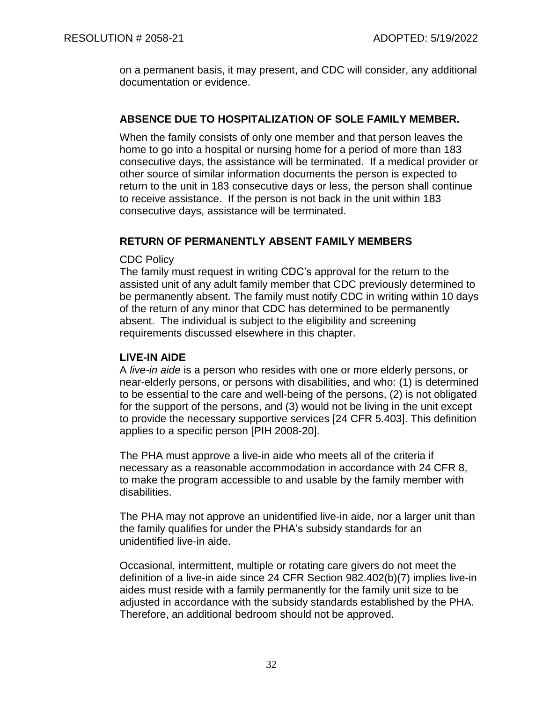on a permanent basis, it may present, and CDC will consider, any additional documentation or evidence.

## **ABSENCE DUE TO HOSPITALIZATION OF SOLE FAMILY MEMBER.**

When the family consists of only one member and that person leaves the home to go into a hospital or nursing home for a period of more than 183 consecutive days, the assistance will be terminated. If a medical provider or other source of similar information documents the person is expected to return to the unit in 183 consecutive days or less, the person shall continue to receive assistance. If the person is not back in the unit within 183 consecutive days, assistance will be terminated.

## **RETURN OF PERMANENTLY ABSENT FAMILY MEMBERS**

CDC Policy

The family must request in writing CDC's approval for the return to the assisted unit of any adult family member that CDC previously determined to be permanently absent. The family must notify CDC in writing within 10 days of the return of any minor that CDC has determined to be permanently absent. The individual is subject to the eligibility and screening requirements discussed elsewhere in this chapter.

## **LIVE-IN AIDE**

A *live-in aide* is a person who resides with one or more elderly persons, or near-elderly persons, or persons with disabilities, and who: (1) is determined to be essential to the care and well-being of the persons, (2) is not obligated for the support of the persons, and (3) would not be living in the unit except to provide the necessary supportive services [24 CFR 5.403]. This definition applies to a specific person [PIH 2008-20].

The PHA must approve a live-in aide who meets all of the criteria if necessary as a reasonable accommodation in accordance with 24 CFR 8, to make the program accessible to and usable by the family member with disabilities.

The PHA may not approve an unidentified live-in aide, nor a larger unit than the family qualifies for under the PHA's subsidy standards for an unidentified live-in aide.

Occasional, intermittent, multiple or rotating care givers do not meet the definition of a live-in aide since 24 CFR Section 982.402(b)(7) implies live-in aides must reside with a family permanently for the family unit size to be adjusted in accordance with the subsidy standards established by the PHA. Therefore, an additional bedroom should not be approved.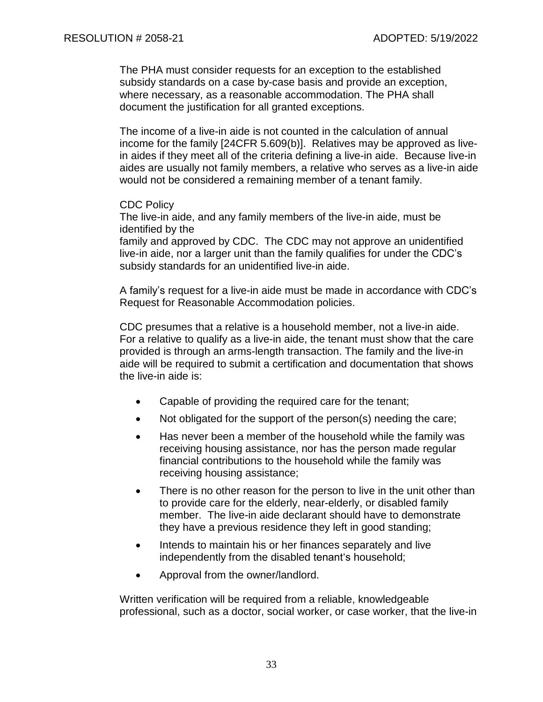The PHA must consider requests for an exception to the established subsidy standards on a case by-case basis and provide an exception, where necessary, as a reasonable accommodation. The PHA shall document the justification for all granted exceptions.

The income of a live-in aide is not counted in the calculation of annual income for the family [24CFR 5.609(b)]. Relatives may be approved as livein aides if they meet all of the criteria defining a live-in aide. Because live-in aides are usually not family members, a relative who serves as a live-in aide would not be considered a remaining member of a tenant family.

#### CDC Policy

The live-in aide, and any family members of the live-in aide, must be identified by the

family and approved by CDC. The CDC may not approve an unidentified live-in aide, nor a larger unit than the family qualifies for under the CDC's subsidy standards for an unidentified live-in aide.

A family's request for a live-in aide must be made in accordance with CDC's Request for Reasonable Accommodation policies.

CDC presumes that a relative is a household member, not a live-in aide. For a relative to qualify as a live-in aide, the tenant must show that the care provided is through an arms-length transaction. The family and the live-in aide will be required to submit a certification and documentation that shows the live-in aide is:

- Capable of providing the required care for the tenant;
- Not obligated for the support of the person(s) needing the care;
- Has never been a member of the household while the family was receiving housing assistance, nor has the person made regular financial contributions to the household while the family was receiving housing assistance;
- There is no other reason for the person to live in the unit other than to provide care for the elderly, near-elderly, or disabled family member. The live-in aide declarant should have to demonstrate they have a previous residence they left in good standing;
- Intends to maintain his or her finances separately and live independently from the disabled tenant's household;
- Approval from the owner/landlord.

Written verification will be required from a reliable, knowledgeable professional, such as a doctor, social worker, or case worker, that the live-in